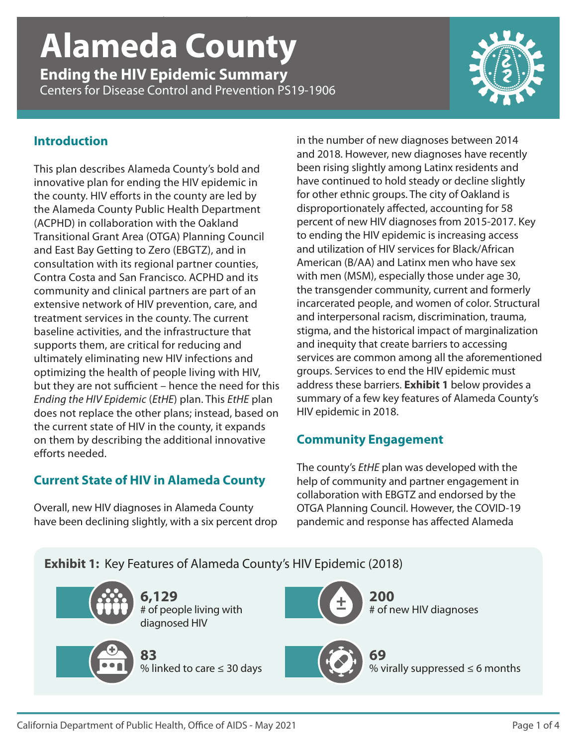# *Ending the HIV Epidemic Summary* | **Alameda County** | CDC PS19-1906 **Alameda County**

**Ending the HIV Epidemic Summary** Centers for Disease Control and Prevention PS19-1906



### **Introduction**

This plan describes Alameda County's bold and innovative plan for ending the HIV epidemic in the county. HIV efforts in the county are led by the Alameda County Public Health Department (ACPHD) in collaboration with the Oakland Transitional Grant Area (OTGA) Planning Council and East Bay Getting to Zero (EBGTZ), and in consultation with its regional partner counties, Contra Costa and San Francisco. ACPHD and its community and clinical partners are part of an extensive network of HIV prevention, care, and treatment services in the county. The current baseline activities, and the infrastructure that supports them, are critical for reducing and ultimately eliminating new HIV infections and optimizing the health of people living with HIV, but they are not sufficient – hence the need for this *Ending the HIV Epidemic* (*EtHE*) plan. This *EtHE* plan does not replace the other plans; instead, based on the current state of HIV in the county, it expands on them by describing the additional innovative efforts needed.

# **Current State of HIV in Alameda County**

Overall, new HIV diagnoses in Alameda County have been declining slightly, with a six percent drop in the number of new diagnoses between 2014 and 2018. However, new diagnoses have recently been rising slightly among Latinx residents and have continued to hold steady or decline slightly for other ethnic groups. The city of Oakland is disproportionately affected, accounting for 58 percent of new HIV diagnoses from 2015-2017. Key to ending the HIV epidemic is increasing access and utilization of HIV services for Black/African American (B/AA) and Latinx men who have sex with men (MSM), especially those under age 30, the transgender community, current and formerly incarcerated people, and women of color. Structural and interpersonal racism, discrimination, trauma, stigma, and the historical impact of marginalization and inequity that create barriers to accessing services are common among all the aforementioned groups. Services to end the HIV epidemic must address these barriers. **Exhibit 1** below provides a summary of a few key features of Alameda County's HIV epidemic in 2018.

# **Community Engagement**

The county's *EtHE* plan was developed with the help of community and partner engagement in collaboration with EBGTZ and endorsed by the OTGA Planning Council. However, the COVID-19 pandemic and response has affected Alameda

# **Exhibit 1:** Key Features of Alameda County's HIV Epidemic (2018)



**6,129** # of people living with diagnosed HIV



**83** % linked to care ≤ 30 days



**200** # of new HIV diagnoses



**69** % virally suppressed  $\leq 6$  months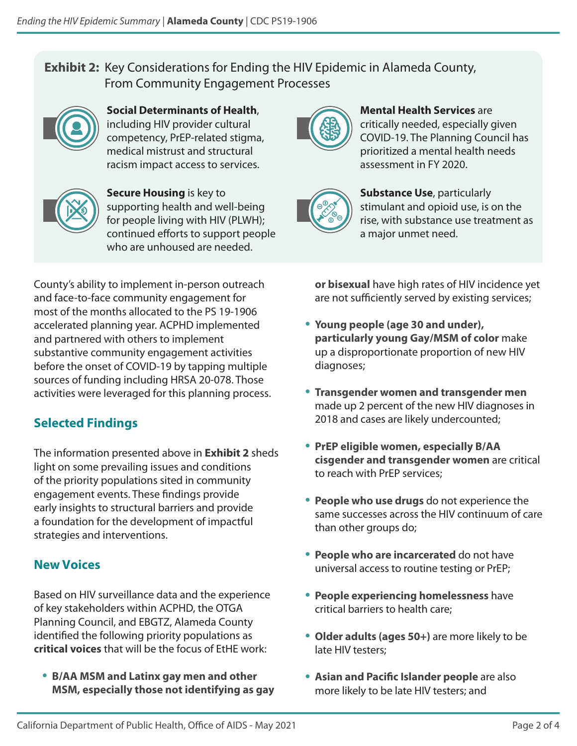# **Exhibit 2:** Key Considerations for Ending the HIV Epidemic in Alameda County, From Community Engagement Processes



**Social Determinants of Health**, including HIV provider cultural competency, PrEP-related stigma, medical mistrust and structural racism impact access to services.



**Secure Housing** is key to supporting health and well-being for people living with HIV (PLWH); continued efforts to support people who are unhoused are needed.



**Mental Health Services** are critically needed, especially given COVID-19. The Planning Council has prioritized a mental health needs assessment in FY 2020.



**Substance Use**, particularly stimulant and opioid use, is on the rise, with substance use treatment as a major unmet need.

County's ability to implement in-person outreach and face-to-face community engagement for most of the months allocated to the PS 19-1906 accelerated planning year. ACPHD implemented and partnered with others to implement substantive community engagement activities before the onset of COVID-19 by tapping multiple sources of funding including HRSA 20-078. Those activities were leveraged for this planning process.

# **Selected Findings**

The information presented above in **Exhibit 2** sheds light on some prevailing issues and conditions of the priority populations sited in community engagement events. These findings provide early insights to structural barriers and provide a foundation for the development of impactful strategies and interventions.

# **New Voices**

Based on HIV surveillance data and the experience of key stakeholders within ACPHD, the OTGA Planning Council, and EBGTZ, Alameda County identified the following priority populations as **critical voices** that will be the focus of EtHE work:

• **B/AA MSM and Latinx gay men and other MSM, especially those not identifying as gay** **or bisexual** have high rates of HIV incidence yet are not sufficiently served by existing services;

- **Young people (age 30 and under), particularly young Gay/MSM of color** make up a disproportionate proportion of new HIV diagnoses;
- **Transgender women and transgender men** made up 2 percent of the new HIV diagnoses in 2018 and cases are likely undercounted;
- **PrEP eligible women, especially B/AA cisgender and transgender women** are critical to reach with PrEP services;
- **People who use drugs** do not experience the same successes across the HIV continuum of care than other groups do;
- **People who are incarcerated** do not have universal access to routine testing or PrEP;
- **People experiencing homelessness** have critical barriers to health care;
- **Older adults (ages 50+)** are more likely to be late HIV testers;
- **Asian and Pacific Islander people** are also more likely to be late HIV testers; and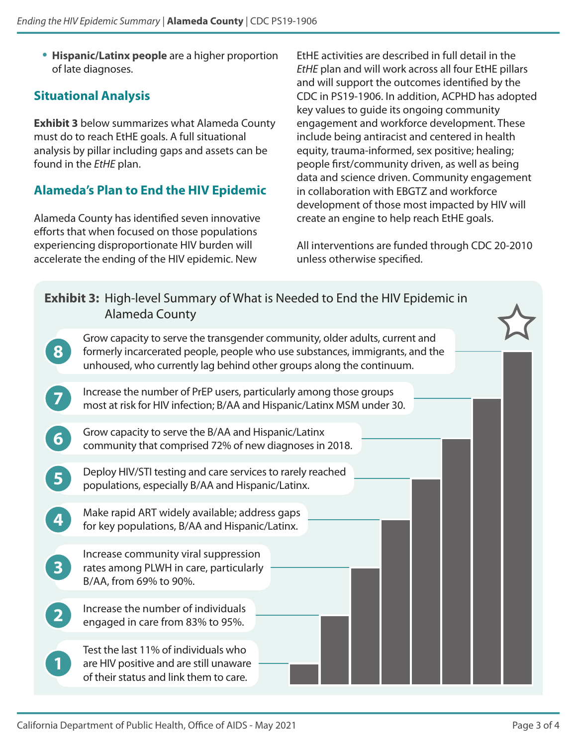• **Hispanic/Latinx people** are a higher proportion of late diagnoses.

### **Situational Analysis**

**Exhibit 3** below summarizes what Alameda County must do to reach EtHE goals. A full situational analysis by pillar including gaps and assets can be found in the *EtHE* plan.

## **Alameda's Plan to End the HIV Epidemic**

Alameda County has identified seven innovative efforts that when focused on those populations experiencing disproportionate HIV burden will accelerate the ending of the HIV epidemic. New

EtHE activities are described in full detail in the *EtHE* plan and will work across all four EtHE pillars and will support the outcomes identified by the CDC in PS19-1906. In addition, ACPHD has adopted key values to guide its ongoing community engagement and workforce development. These include being antiracist and centered in health equity, trauma-informed, sex positive; healing; people first/community driven, as well as being data and science driven. Community engagement in collaboration with EBGTZ and workforce development of those most impacted by HIV will create an engine to help reach EtHE goals.

All interventions are funded through CDC 20-2010 unless otherwise specified.